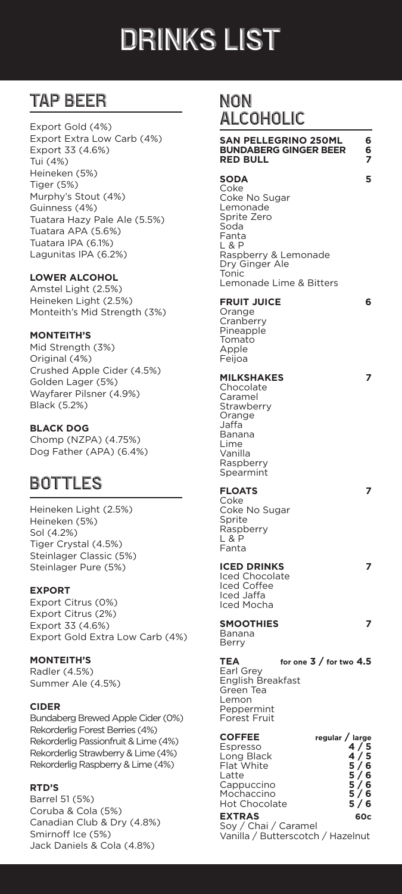# drinks List

# TAP BEER

Export Gold (4%) Export Extra Low Carb (4%) Export 33 (4.6%) Tui (4%) Heineken (5%) Tiger (5%) Murphy's Stout (4%) Guinness (4%) Tuatara Hazy Pale Ale (5.5%) Tuatara APA (5.6%) Tuatara IPA (6.1%) Lagunitas IPA (6.2%)

### **LOWER ALCOHOL**

Amstel Light (2.5%) Heineken Light (2.5%) Monteith's Mid Strength (3%)

#### **MONTEITH'S**

Mid Strength (3%) Original (4%) Crushed Apple Cider (4.5%) Golden Lager (5%) Wayfarer Pilsner (4.9%) Black (5.2%)

### **BLACK DOG**

Chomp (NZPA) (4.75%) Dog Father (APA) (6.4%)

## BOTTLES

Heineken Light (2.5%) Heineken (5%) Sol (4.2%) Tiger Crystal (4.5%) Steinlager Classic (5%) Steinlager Pure (5%)

## **EXPORT**

Export Citrus (0%) Export Citrus (2%) Export 33 (4.6%) Export Gold Extra Low Carb (4%)

#### **MONTEITH'S**

Radler (4.5%) Summer Ale (4.5%)

#### **CIDER**

Bundaberg Brewed Apple Cider (0%) Rekorderlig Forest Berries (4%) Rekorderlig Passionfruit & Lime (4%) Rekorderlig Strawberry & Lime (4%) Rekorderlig Raspberry & Lime (4%)

## **RTD'S**

Barrel 51 (5%) Coruba & Cola (5%) Canadian Club & Dry (4.8%) Smirnoff Ice (5%) Jack Daniels & Cola (4.8%)

## Non Alcoholic

#### **SAN PELLEGRINO 250ML 6 BUNDABERG GINGER BEER 6 RED BULL 7 SODA 5** Coke Coke No Sugar Lemonade Sprite Zero Soda Fanta L & P Raspberry & Lemonade Dry Ginger Ale **Tonic** Lemonade Lime & Bitters **FRUIT JUICE 6** Orange **Cranberry** Pineapple Tomato Apple Feijoa **MILKSHAKES 7** Chocolate Caramel **Strawberry** Orange Jaffa Banana Lime Vanilla Raspberry Spearmint **FLOATS 7** Coke Coke No Sugar Sprite Raspberry L & P Fanta **ICED DRINKS 7** Iced Chocolate Iced Coffee Iced Jaffa Iced Mocha **SMOOTHIES 7** Banana Berry **TEA for one 3 / for two 4.5** Earl Grey English Breakfast Green Tea Lemon Peppermint Forest Fruit **COFFEE regular / large** Espresso **Long Black Flat White** Espresso<br>
Long Black<br>
Flat White<br>
Latte 5/6<br>
Cappuccino 5/6<br>
Cappuccino 5/6 Cappuccino **5/6**<br>Mochaccino **5/6**<br>Hot Chocolate **5/6** Mochaccino **Hot Chocolate EXTRAS 60c** Soy / Chai / Caramel

Vanilla / Butterscotch / Hazelnut